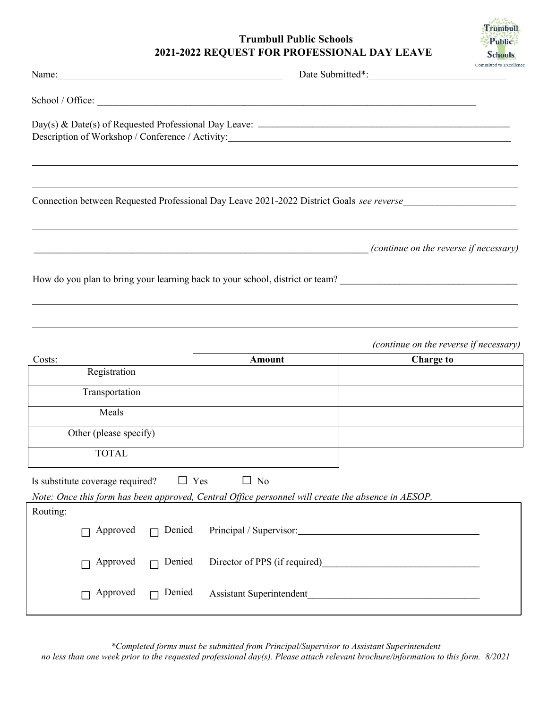## **Trumbull Public Schools 2021-2022 REQUEST FOR PROFESSIONAL DAY LEAVE**

Trumbull Public **Schools** 

|                                                                                                                                        |                                                                                                                       | Committed to Excellenc<br>Date Submitted*:                                                                              |
|----------------------------------------------------------------------------------------------------------------------------------------|-----------------------------------------------------------------------------------------------------------------------|-------------------------------------------------------------------------------------------------------------------------|
|                                                                                                                                        |                                                                                                                       |                                                                                                                         |
|                                                                                                                                        |                                                                                                                       |                                                                                                                         |
|                                                                                                                                        |                                                                                                                       | Connection between Requested Professional Day Leave 2021-2022 District Goals see reverse                                |
|                                                                                                                                        | <u> 1989 - Johann Johann Stoff, deutscher Stoff, der Stoff, der Stoff, der Stoff, der Stoff, der Stoff, der Stoff</u> | (continue on the reverse if necessary)                                                                                  |
|                                                                                                                                        |                                                                                                                       | How do you plan to bring your learning back to your school, district or team?<br>(continue on the reverse if necessary) |
| Costs:                                                                                                                                 | Amount                                                                                                                | <b>Charge to</b>                                                                                                        |
| Registration                                                                                                                           |                                                                                                                       |                                                                                                                         |
| Transportation                                                                                                                         |                                                                                                                       |                                                                                                                         |
| Meals                                                                                                                                  |                                                                                                                       |                                                                                                                         |
| Other (please specify)                                                                                                                 |                                                                                                                       |                                                                                                                         |
| <b>TOTAL</b>                                                                                                                           |                                                                                                                       |                                                                                                                         |
| Is substitute coverage required?<br>Note: Once this form has been approved, Central Office personnel will create the absence in AESOP. | $\Box$ Yes<br>$\Box$ No                                                                                               |                                                                                                                         |
| Routing:                                                                                                                               |                                                                                                                       |                                                                                                                         |
| Approved<br>Denied<br>$\Box$                                                                                                           |                                                                                                                       |                                                                                                                         |
| Approved<br>Denied                                                                                                                     |                                                                                                                       |                                                                                                                         |
| Approved<br>$\Box$ Denied                                                                                                              |                                                                                                                       | Assistant Superintendent                                                                                                |

*\*Completed forms must be submitted from Principal/Supervisor to Assistant Superintendent no less than one week prior to the requested professional day(s). Please attach relevant brochure/information to this form. 8/2021*